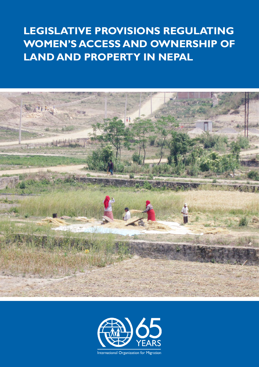# **LEGISLATIVE PROVISIONS REGULATING WOMEN'S ACCESS AND OWNERSHIP OF LAND AND PROPERTY IN NEPAL**





International Organization for Migration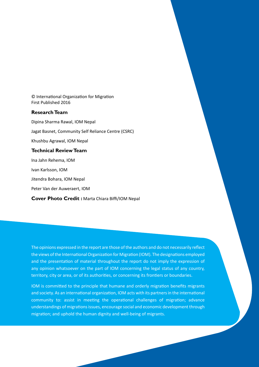© International Organization for Migration First Published 2016

#### **Research Team**

Dipina Sharma Rawal, IOM Nepal Jagat Basnet, Community Self Reliance Centre (CSRC) Khushbu Agrawal, IOM Nepal **Technical Review Team** Ina Jahn Rehema, IOM Ivan Karlsson, IOM Jitendra Bohara, IOM Nepal

Peter Van der Auweraert, IOM

**Cover Photo Credit :** Marta Chiara Biffi/IOM Nepal

The opinions expressed in the report are those of the authors and do not necessarily reflect the views of the International Organization for Migration (IOM). The designations employed and the presentation of material throughout the report do not imply the expression of any opinion whatsoever on the part of IOM concerning the legal status of any country, territory, city or area, or of its authorities, or concerning its frontiers or boundaries.

IOM is committed to the principle that humane and orderly migration benefits migrants and society. As an international organization, IOM acts with its partners in the international community to: assist in meeting the operational challenges of migration; advance understandings of migrations issues, encourage social and economic development through migration; and uphold the human dignity and well-being of migrants.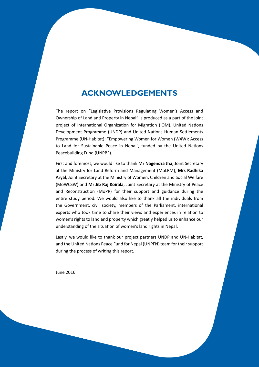## **Acknowledgements**

The report on "Legislative Provisions Regulating Women's Access and Ownership of Land and Property in Nepal" is produced as a part of the joint project of International Organization for Migration (IOM), United Nations Development Programme (UNDP) and United Nations Human Settlements Programme (UN-Habitat): "Empowering Women for Women (W4W): Access to Land for Sustainable Peace in Nepal", funded by the United Nations Peacebuilding Fund (UNPBF).

First and foremost, we would like to thank **Mr Nagendra Jha**, Joint Secretary at the Ministry for Land Reform and Management (MoLRM), **Mrs Radhika Aryal**, Joint Secretary at the Ministry of Women, Children and Social Welfare (MoWCSW) and **Mr Jib Raj Koirala**, Joint Secretary at the Ministry of Peace and Reconstruction (MoPR) for their support and guidance during the entire study period. We would also like to thank all the individuals from the Government, civil society, members of the Parliament, international experts who took time to share their views and experiences in relation to women's rights to land and property which greatly helped us to enhance our understanding of the situation of women's land rights in Nepal.

Lastly, we would like to thank our project partners UNDP and UN-Habitat, and the United Nations Peace Fund for Nepal (UNPFN) team for their support during the process of writing this report.

I

June 2016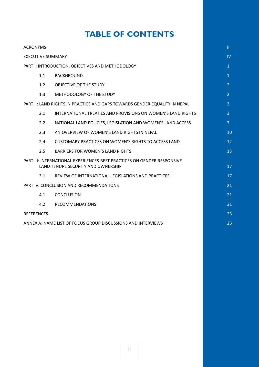## **Table of Contents**

| <b>ACRONYMS</b>                                                                                                      |                |  |  |
|----------------------------------------------------------------------------------------------------------------------|----------------|--|--|
| <b>EXECUTIVE SUMMARY</b>                                                                                             |                |  |  |
| PART I: INTRODUCTION, OBJECTIVES AND METHODOLOGY                                                                     |                |  |  |
| 1.1<br><b>BACKGROUND</b>                                                                                             | $\mathbf{1}$   |  |  |
| 1.2<br>OBJECTIVE OF THE STUDY                                                                                        | $\overline{2}$ |  |  |
| 1.3<br>METHODOLOGY OF THE STUDY                                                                                      | $\overline{2}$ |  |  |
| PART II: LAND RIGHTS IN PRACTICE AND GAPS TOWARDS GENDER EQUALITY IN NEPAL                                           |                |  |  |
| 2.1<br>INTERNATIONAL TREATIES AND PROVISIONS ON WOMEN'S LAND RIGHTS                                                  |                |  |  |
| 2.2<br>NATIONAL LAND POLICIES, LEGISLATION AND WOMEN'S LAND ACCESS                                                   | $\overline{7}$ |  |  |
| 2.3<br>AN OVERVIEW OF WOMEN'S LAND RIGHTS IN NEPAL                                                                   |                |  |  |
| <b>CUSTOMARY PRACTICES ON WOMEN'S RIGHTS TO ACCESS LAND</b><br>2.4                                                   | 12             |  |  |
| 2.5<br><b>BARRIERS FOR WOMEN'S LAND RIGHTS</b>                                                                       | 13             |  |  |
| <b>PART III: INTERNATIONAL EXPERIENCES-BEST PRACTICES ON GENDER RESPONSIVE</b><br>LAND TENURE SECURITY AND OWNERSHIP |                |  |  |
| REVIEW OF INTERNATIONAL LEGISLATIONS AND PRACTICES<br>3.1                                                            | 17             |  |  |
| PART IV: CONCLUSION AND RECOMMENDATIONS                                                                              |                |  |  |
| 4.1<br><b>CONCLUSION</b>                                                                                             |                |  |  |
| 4.2<br><b>RECOMMENDATIONS</b>                                                                                        | 21             |  |  |
| <b>REFERENCES</b>                                                                                                    |                |  |  |
| ANNEX A: NAME LIST OF FOCUS GROUP DISCUSSIONS AND INTERVIEWS                                                         |                |  |  |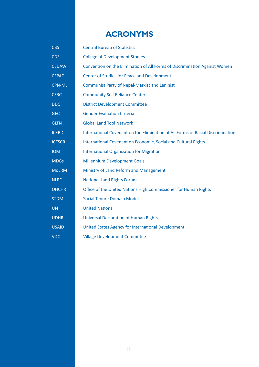## **ACRONYMS**

| <b>CBS</b>    | <b>Central Bureau of Statistics</b>                                             |  |  |  |
|---------------|---------------------------------------------------------------------------------|--|--|--|
| <b>CDS</b>    | <b>College of Development Studies</b>                                           |  |  |  |
| <b>CEDAW</b>  | Convention on the Elimination of All Forms of Discrimination Against Women      |  |  |  |
| <b>CEPAD</b>  | Center of Studies for Peace and Development                                     |  |  |  |
| <b>CPN-ML</b> | <b>Communist Party of Nepal-Marxist and Leninist</b>                            |  |  |  |
| <b>CSRC</b>   | <b>Community Self Reliance Center</b>                                           |  |  |  |
| <b>DDC</b>    | <b>District Development Committee</b>                                           |  |  |  |
| <b>GEC</b>    | <b>Gender Evaluation Criteria</b>                                               |  |  |  |
| <b>GLTN</b>   | <b>Global Land Tool Network</b>                                                 |  |  |  |
| <b>ICERD</b>  | International Covenant on the Elimination of All Forms of Racial Discrimination |  |  |  |
| <b>ICESCR</b> | International Covenant on Economic, Social and Cultural Rights                  |  |  |  |
| <b>IOM</b>    | <b>International Organization for Migration</b>                                 |  |  |  |
| <b>MDGs</b>   | <b>Millennium Development Goals</b>                                             |  |  |  |
| <b>MoLRM</b>  | Ministry of Land Reform and Management                                          |  |  |  |
| <b>NLRF</b>   | <b>National Land Rights Forum</b>                                               |  |  |  |
| <b>OHCHR</b>  | Office of the United Nations High Commissioner for Human Rights                 |  |  |  |
| <b>STDM</b>   | <b>Social Tenure Domain Model</b>                                               |  |  |  |
| <b>UN</b>     | <b>United Nations</b>                                                           |  |  |  |
| <b>UDHR</b>   | <b>Universal Declaration of Human Rights</b>                                    |  |  |  |
| <b>USAID</b>  | United States Agency for International Development                              |  |  |  |
| <b>VDC</b>    | <b>Village Development Committee</b>                                            |  |  |  |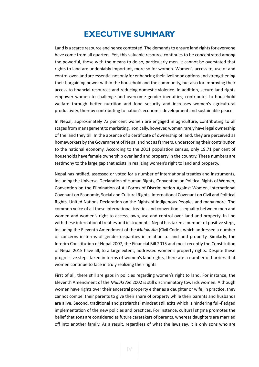## **EXECUTIVE SUMMARY**

Land is a scarce resource and hence contested. The demands to ensure land rights for everyone have come from all quarters. Yet, this valuable resource continues to be concentrated among the powerful, those with the means to do so, particularly men. It cannot be overstated that rights to land are undeniably important, more so for women. Women's access to, use of and control over land are essential not only for enhancing their livelihood options and strengthening their bargaining power within the household and the community, but also for improving their access to financial resources and reducing domestic violence. In addition, secure land rights empower women to challenge and overcome gender inequities; contributes to household welfare through better nutrition and food security and increases women's agricultural productivity, thereby contributing to nation's economic development and sustainable peace.

In Nepal, approximately 73 per cent women are engaged in agriculture, contributing to all stages from management to marketing. Ironically, however, women rarely have legal ownership of the land they till. In the absence of a certificate of ownership of land, they are perceived as homeworkers by the Government of Nepal and not as farmers, underscoring their contribution to the national economy. According to the 2011 population census, only 19.71 per cent of households have female ownership over land and property in the country. These numbers are testimony to the large gap that exists in realizing women's right to land and property.

Nepal has ratified, assessed or voted for a number of international treaties and instruments, including the Universal Declaration of Human Rights, Convention on Political Rights of Women, Convention on the Elimination of All Forms of Discrimination Against Women, International Covenant on Economic, Social and Cultural Rights, International Covenant on Civil and Political Rights, United Nations Declaration on the Rights of Indigenous Peoples and many more. The common voice of all these international treaties and convention is equality between men and women and women's right to access, own, use and control over land and property. In line with these international treaties and instruments, Nepal has taken a number of positive steps, including the Eleventh Amendment of the *Muluki Ain* (Civil Code), which addressed a number of concerns in terms of gender disparities in relation to land and property. Similarly, the Interim Constitution of Nepal 2007, the Financial Bill 2015 and most recently the Constitution of Nepal 2015 have all, to a large extent, addressed women's property rights. Despite these progressive steps taken in terms of women's land rights, there are a number of barriers that women continue to face in truly realizing their rights.

First of all, there still are gaps in policies regarding women's right to land. For instance, the Eleventh Amendment of the *Muluki Ain* 2002 is still discriminatory towards women. Although women have rights over their ancestral property either as a daughter or wife, in practice, they cannot compel their parents to give their share of property while their parents and husbands are alive. Second, traditional and patriarchal mindset still exits which is hindering full-fledged implementation of the new policies and practices. For instance, cultural stigma promotes the belief that sons are considered as future caretakers of parents, whereas daughters are married off into another family. As a result, regardless of what the laws say, it is only sons who are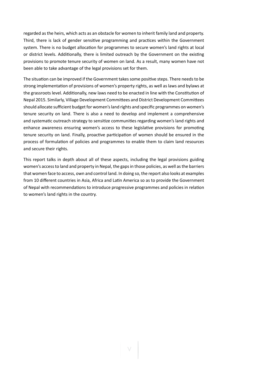regarded as the heirs, which acts as an obstacle for women to inherit family land and property. Third, there is lack of gender sensitive programming and practices within the Government system. There is no budget allocation for programmes to secure women's land rights at local or district levels. Additionally, there is limited outreach by the Government on the existing provisions to promote tenure security of women on land. As a result, many women have not been able to take advantage of the legal provisions set for them.

The situation can be improved if the Government takes some positive steps. There needs to be strong implementation of provisions of women's property rights, as well as laws and bylaws at the grassroots level. Additionally, new laws need to be enacted in line with the Constitution of Nepal 2015. Similarly, Village Development Committees and District Development Committees should allocate sufficient budget for women's land rights and specific programmes on women's tenure security on land. There is also a need to develop and implement a comprehensive and systematic outreach strategy to sensitize communities regarding women's land rights and enhance awareness ensuring women's access to these legislative provisions for promoting tenure security on land. Finally, proactive participation of women should be ensured in the process of formulation of policies and programmes to enable them to claim land resources and secure their rights.

This report talks in depth about all of these aspects, including the legal provisions guiding women's access to land and property in Nepal, the gaps in those policies, as well as the barriers that women face to access, own and control land. In doing so, the report also looks at examples from 10 different countries in Asia, Africa and Latin America so as to provide the Government of Nepal with recommendations to introduce progressive programmes and policies in relation to women's land rights in the country.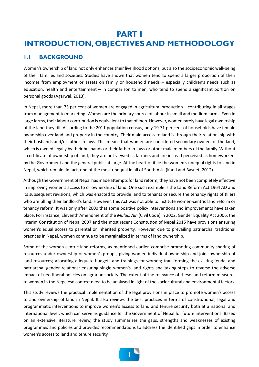## **PART I INTRODUCTION, OBJECTIVES AND METHODOLOGY**

### **1.1 BACKGROUND**

Women's ownership of land not only enhances their livelihood options, but also the socioeconomic well-being of their families and societies. Studies have shown that women tend to spend a larger proportion of their incomes from employment or assets on family or household needs – especially children's needs such as education, health and entertainment – in comparison to men, who tend to spend a significant portion on personal goods (Agarwal, 2013).

In Nepal, more than 73 per cent of women are engaged in agricultural production – contributing in all stages from management to marketing. Women are the primary source of labour in small and medium farms. Even in large farms, their labour contribution is equivalent to that of men. However, women rarely have legal ownership of the land they till. According to the 2011 population census, only 19.71 per cent of households have female ownership over land and property in the country. Their main access to land is through their relationship with their husbands and/or father in-laws. This means that women are considered secondary owners of the land, which is owned legally by their husbands or their father in-laws or other male members of the family. Without a certificate of ownership of land, they are not viewed as farmers and are instead perceived as homeworkers by the Government and the general public at large. At the heart of it lie the women's unequal rights to land in Nepal, which remain, in fact, one of the most unequal in all of South Asia (Karki and Basnet, 2012).

Although the Government of Nepal has made attempts for land reform, they have not been completely effective in improving women's access to or ownership of land. One such example is the Land Reform Act 1964 AD and its subsequent revisions, which was enacted to provide land to tenants or secure the tenancy rights of tillers who are tilling their landlord's land. However, this Act was not able to institute women-centric land reform or tenancy reform. It was only after 2000 that some positive policy interventions and improvements have taken place. For instance, Eleventh Amendment of the *Muluki Ain* (Civil Code) in 2002, Gender Equality Act 2006, the Interim Constitution of Nepal 2007 and the most recent Constitution of Nepal 2015 have provisions ensuring women's equal access to parental or inherited property. However, due to prevailing patriarchal traditional practices in Nepal, women continue to be marginalized in terms of land ownership.

Some of the women-centric land reforms, as mentioned earlier, comprise promoting community-sharing of resources under ownership of women's groups; giving women individual ownership and joint ownership of land resources; allocating adequate budgets and trainings for women; transforming the existing feudal and patriarchal gender relations; ensuring single women's land rights and taking steps to reverse the adverse impact of neo-liberal policies on agrarian society. The extent of the relevance of these land reform measures to women in the Nepalese context need to be analysed in light of the sociocultural and environmental factors.

This study reviews the practical implementation of the legal provisions in place to promote women's access to and ownership of land in Nepal. It also reviews the best practices in terms of constitutional, legal and programmatic interventions to improve women's access to land and tenure security both at a national and international level, which can serve as guidance for the Government of Nepal for future interventions. Based on an extensive literature review, the study summarizes the gaps, strengths and weaknesses of existing programmes and policies and provides recommendations to address the identified gaps in order to enhance women's access to land and tenure security.

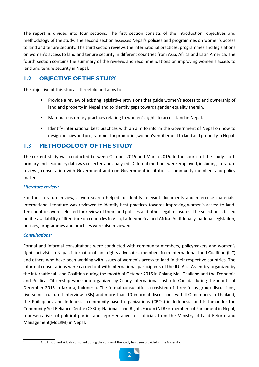The report is divided into four sections. The first section consists of the introduction, objectives and methodology of the study. The second section assesses Nepal's policies and programmes on women's access to land and tenure security. The third section reviews the international practices, programmes and legislations on women's access to land and tenure security in different countries from Asia, Africa and Latin America. The fourth section contains the summary of the reviews and recommendations on improving women's access to land and tenure security in Nepal.

## **1.2 OBJECTIVE OF THE STUDY**

The objective of this study is threefold and aims to:

- Provide a review of existing legislative provisions that guide women's access to and ownership of land and property in Nepal and to identify gaps towards gender equality therein.
- Map-out customary practices relating to women's rights to access land in Nepal.
- Identify international best practices with an aim to inform the Government of Nepal on how to design policies and programmes for promoting women's entitlement to land and property in Nepal.

### **1.3 METHODOLOGY OF THE STUDY**

The current study was conducted between October 2015 and March 2016. In the course of the study, both primary and secondary data was collected and analysed. Different methods were employed, including literature reviews, consultation with Government and non-Government institutions, community members and policy makers.

#### *Literature review:*

For the literature review, a web search helped to identify relevant documents and reference materials. International literature was reviewed to identify best practices towards improving women's access to land. Ten countries were selected for review of their land policies and other legal measures. The selection is based on the availability of literature on countries in Asia, Latin America and Africa. Additionally, national legislation, policies, programmes and practices were also reviewed.

#### *Consultations:*

Formal and informal consultations were conducted with community members, policymakers and women's rights activists in Nepal, international land rights advocates, members from International Land Coalition (ILC) and others who have been working with issues of women's access to land in their respective countries. The informal consultations were carried out with international participants of the ILC Asia Assembly organized by the International Land Coalition during the month of October 2015 in Chiang Mai, Thailand and the Economic and Political Citizenship workshop organized by Coady International Institute Canada during the month of December 2015 in Jakarta, Indonesia. The formal consultations consisted of three focus group discussions, five semi-structured interviews (SIs) and more than 10 informal discussions with ILC members in Thailand, the Philippines and Indonesia; community-based organizations (CBOs) in Indonesia and Kathmandu; the Community Self Reliance Centre (CSRC); National Land Rights Forum (NLRF); members of Parliament in Nepal; representatives of political parties and representatives of officials from the Ministry of Land Reform and Management(MoLRM) in Nepal.1

<sup>1</sup> A full list of individuals consulted during the course of the study has been provided in the Appendix.

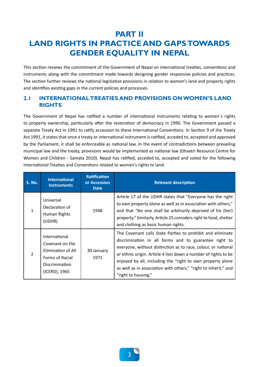## **PART II LAND RIGHTS IN PRACTICE AND GAPS TOWARDS GENDER EQUALITY IN NEPAL**

This section reviews the commitment of the Government of Nepal on international treaties, conventions and instruments along with the commitment made towards designing gender responsive policies and practices. The section further reviews the national legislative provisions in relation to women's land and property rights and identifies existing gaps in the current policies and processes.

### **2.1 INTERNATIONAL TREATIES AND PROVISIONS ON WOMEN'S LAND RIGHTS**

The Government of Nepal has ratified a number of international instruments relating to women`s rights to property ownership, particularly after the restoration of democracy in 1990. The Government passed a separate Treaty Act in 1991 to ratify accession to these International Conventions. In Section 9 of the Treaty Act 1991, it states that once a treaty or international instrument is ratified, acceded to, accepted and approved by the Parliament, it shall be enforceable as national law. In the event of contradictions between prevailing municipal law and the treaty, provisions would be implemented as national law (Dhaatri Resource Centre for Women and Children - Samata 2010). Nepal has ratified, acceded to, accepted and voted for the following International Treaties and Conventions related to women's rights to land.

| <b>S. No.</b> | <b>International</b><br><b>Instruments</b>                                                                          | <b>Ratification</b><br>or Accession<br><b>Date</b> | <b>Relevant description</b>                                                                                                                                                                                                                                                                                                                                                                                     |
|---------------|---------------------------------------------------------------------------------------------------------------------|----------------------------------------------------|-----------------------------------------------------------------------------------------------------------------------------------------------------------------------------------------------------------------------------------------------------------------------------------------------------------------------------------------------------------------------------------------------------------------|
| 1             | Universal<br>Declaration of<br>Human Rights<br>(UDHR)                                                               | 1948                                               | Article 17 of the UDHR states that "Everyone has the right<br>to own property alone as well as in association with others,"<br>and that "No one shall be arbitrarily deprived of his (her)<br>property." Similarly, Article 25 considers right to food, shelter<br>and clothing as basic human rights.                                                                                                          |
| 2             | International<br>Covenant on the<br>Elimination of All<br>Forms of Racial<br><b>Discrimination</b><br>(ICERD), 1965 | 30 January<br>1971                                 | The Covenant calls State Parties to prohibit and eliminate<br>discrimination in all forms and to guarantee right to<br>everyone, without distinction as to race, colour, or national<br>or ethnic origin. Article 4 lists down a number of rights to be<br>enjoyed by all, including the "right to own property alone<br>as well as in association with others," "right to inherit," and<br>"right to housing." |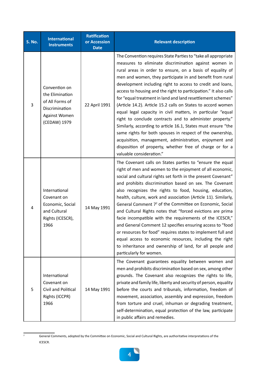| <b>S. No.</b> | <b>International</b><br><b>Instruments</b>                                                             | <b>Ratification</b><br>or Accession<br><b>Date</b> | <b>Relevant description</b>                                                                                                                                                                                                                                                                                                                                                                                                                                                                                                                                                                                                                                                                                                                                                                                                                                                                                                   |
|---------------|--------------------------------------------------------------------------------------------------------|----------------------------------------------------|-------------------------------------------------------------------------------------------------------------------------------------------------------------------------------------------------------------------------------------------------------------------------------------------------------------------------------------------------------------------------------------------------------------------------------------------------------------------------------------------------------------------------------------------------------------------------------------------------------------------------------------------------------------------------------------------------------------------------------------------------------------------------------------------------------------------------------------------------------------------------------------------------------------------------------|
| 3             | Convention on<br>the Elimination<br>of All Forms of<br>Discrimination<br>Against Women<br>(CEDAW) 1979 | 22 April 1991                                      | The Convention requires State Parties to "take all appropriate<br>measures to eliminate discrimination against women in<br>rural areas in order to ensure, on a basis of equality of<br>men and women, they participate in and benefit from rural<br>development including right to access to credit and loans,<br>access to housing and the right to participation." It also calls<br>for "equal treatment in land and land resettlement schemes"<br>(Article 14.2). Article 15.2 calls on States to accord women<br>equal legal capacity in civil matters, in particular "equal<br>right to conclude contracts and to administer property."<br>Similarly, according to article 16.1, States must ensure "the<br>same rights for both spouses in respect of the ownership,<br>acquisition, management, administration, enjoyment and<br>disposition of property, whether free of charge or for a<br>valuable consideration." |
| 4             | International<br>Covenant on<br>Economic, Social<br>and Cultural<br>Rights (ICESCR),<br>1966           | 14 May 1991                                        | The Covenant calls on States parties to "ensure the equal<br>right of men and women to the enjoyment of all economic,<br>social and cultural rights set forth in the present Covenant"<br>and prohibits discrimination based on sex. The Covenant<br>also recognizes the rights to food, housing, education,<br>health, culture, work and association (Article 11). Similarly,<br>General Comment 7 <sup>2</sup> of the Committee on Economic, Social<br>and Cultural Rights notes that "forced evictions are prima<br>facie incompatible with the requirements of the ICESCR,"<br>and General Comment 12 specifies ensuring access to "food<br>or resources for food" requires states to implement full and<br>equal access to economic resources, including the right<br>to inheritance and ownership of land, for all people and<br>particularly for women.                                                                |
| 5             | International<br>Covenant on<br>Civil and Political<br>Rights (ICCPR)<br>1966                          | 14 May 1991                                        | The Covenant guarantees equality between women and<br>men and prohibits discrimination based on sex, among other<br>grounds. The Covenant also recognizes the rights to life,<br>private and family life, liberty and security of person, equality<br>before the courts and tribunals, information, freedom of<br>movement, association, assembly and expression, freedom<br>from torture and cruel, inhuman or degrading treatment,<br>self-determination, equal protection of the law, participate<br>in public affairs and remedies.                                                                                                                                                                                                                                                                                                                                                                                       |

<sup>&</sup>lt;sup>2</sup> General Comments, adopted by the Committee on Economic, Social and Cultural Rights, are authoritative interpretations of the ICESCR.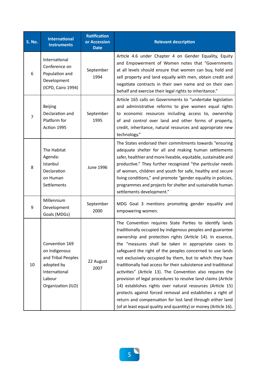| <b>S. No.</b>  | <b>International</b><br><b>Instruments</b>                                                                           | <b>Ratification</b><br>or Accession<br><b>Date</b> | <b>Relevant description</b>                                                                                                                                                                                                                                                                                                                                                                                                                                                                                                                                                                                                                                                                                                                                                                                                      |
|----------------|----------------------------------------------------------------------------------------------------------------------|----------------------------------------------------|----------------------------------------------------------------------------------------------------------------------------------------------------------------------------------------------------------------------------------------------------------------------------------------------------------------------------------------------------------------------------------------------------------------------------------------------------------------------------------------------------------------------------------------------------------------------------------------------------------------------------------------------------------------------------------------------------------------------------------------------------------------------------------------------------------------------------------|
| 6              | International<br>Conference on<br>Population and<br>Development<br>(ICPD, Cairo 1994)                                | September<br>1994                                  | Article 4.6 under Chapter 4 on Gender Equality, Equity<br>and Empowerment of Women notes that "Governments<br>at all levels should ensure that women can buy, hold and<br>sell property and land equally with men, obtain credit and<br>negotiate contracts in their own name and on their own<br>behalf and exercise their legal rights to inheritance."                                                                                                                                                                                                                                                                                                                                                                                                                                                                        |
| $\overline{7}$ | <b>Beijing</b><br>Declaration and<br>Platform for<br>Action 1995                                                     | September<br>1995                                  | Article 165 calls on Governments to "undertake legislation<br>and administrative reforms to give women equal rights<br>to economic resources including access to, ownership<br>of and control over land and other forms of property,<br>credit, inheritance, natural resources and appropriate new<br>technology."                                                                                                                                                                                                                                                                                                                                                                                                                                                                                                               |
| 8              | The Habitat<br>Agenda:<br>Istanbul<br>Declaration<br>on Human<br>Settlements                                         | <b>June 1996</b>                                   | The States endorsed their commitments towards "ensuring<br>adequate shelter for all and making human settlements<br>safer, healthier and more liveable, equitable, sustainable and<br>productive." They further recognized "the particular needs<br>of women, children and youth for safe, healthy and secure<br>living conditions," and promote "gender equality in policies,<br>programmes and projects for shelter and sustainable human<br>settlements development."                                                                                                                                                                                                                                                                                                                                                         |
| 9              | Millennium<br>Development<br>Goals (MDGs)                                                                            | September<br>2000                                  | MDG Goal 3 mentions promoting gender equality and<br>empowering women.                                                                                                                                                                                                                                                                                                                                                                                                                                                                                                                                                                                                                                                                                                                                                           |
| 10             | Convention 169<br>on Indigenous<br>and Tribal Peoples<br>adopted by<br>International<br>Labour<br>Organization (ILO) | 22 August<br>2007                                  | The Convention requires State Parties to identify lands<br>traditionally occupied by indigenous peoples and guarantee<br>ownership and protection rights (Article 14). In essence,<br>the "measures shall be taken in appropriate cases to<br>safeguard the right of the peoples concerned to use lands<br>not exclusively occupied by them, but to which they have<br>traditionally had access for their subsistence and traditional<br>activities" (Article 13). The Convention also requires the<br>provision of legal procedures to resolve land claims (Article<br>14) establishes rights over natural resources (Article 15)<br>protects against forced removal and establishes a right of<br>return and compensation for lost land through either land<br>(of at least equal quality and quantity) or money (Article 16). |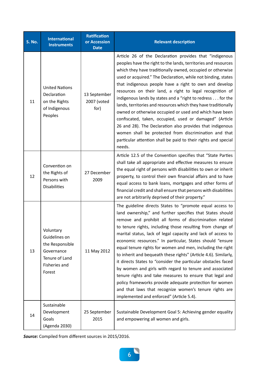| <b>S. No.</b> | <b>International</b><br><b>Instruments</b>                                                               | <b>Ratification</b><br>or Accession<br><b>Date</b> | <b>Relevant description</b>                                                                                                                                                                                                                                                                                                                                                                                                                                                                                                                                                                                                                                                                                                                                                                                                                                           |
|---------------|----------------------------------------------------------------------------------------------------------|----------------------------------------------------|-----------------------------------------------------------------------------------------------------------------------------------------------------------------------------------------------------------------------------------------------------------------------------------------------------------------------------------------------------------------------------------------------------------------------------------------------------------------------------------------------------------------------------------------------------------------------------------------------------------------------------------------------------------------------------------------------------------------------------------------------------------------------------------------------------------------------------------------------------------------------|
| 11            | <b>United Nations</b><br>Declaration<br>on the Rights<br>of Indigenous<br>Peoples                        | 13 September<br>2007 (voted<br>for)                | Article 26 of the Declaration provides that "indigenous<br>peoples have the right to the lands, territories and resources<br>which they have traditionally owned, occupied or otherwise<br>used or acquired." The Declaration, while not binding, states<br>that indigenous people have a right to own and develop<br>resources on their land, a right to legal recognition of<br>indigenous lands by states and a "right to redress for the<br>lands, territories and resources which they have traditionally<br>owned or otherwise occupied or used and which have been<br>confiscated, taken, occupied, used or damaged" (Article<br>26 and 28). The Declaration also provides that indigenous<br>women shall be protected from discrimination and that<br>particular attention shall be paid to their rights and special<br>needs.                                |
| 12            | Convention on<br>the Rights of<br>Persons with<br><b>Disabilities</b>                                    | 27 December<br>2009                                | Article 12.5 of the Convention specifies that "State Parties<br>shall take all appropriate and effective measures to ensure<br>the equal right of persons with disabilities to own or inherit<br>property, to control their own financial affairs and to have<br>equal access to bank loans, mortgages and other forms of<br>financial credit and shall ensure that persons with disabilities<br>are not arbitrarily deprived of their property."                                                                                                                                                                                                                                                                                                                                                                                                                     |
| 13            | Voluntary<br>Guidelines on<br>the Responsible<br>Governance<br>Tenure of Land<br>Fisheries and<br>Forest | 11 May 2012                                        | The guideline directs States to "promote equal access to<br>land ownership," and further specifies that States should<br>remove and prohibit all forms of discrimination related<br>to tenure rights, including those resulting from change of<br>marital status, lack of legal capacity and lack of access to<br>economic resources." In particular, States should "ensure<br>equal tenure rights for women and men, including the right<br>to inherit and bequeath these rights" (Article 4.6). Similarly,<br>it directs States to "consider the particular obstacles faced<br>by women and girls with regard to tenure and associated<br>tenure rights and take measures to ensure that legal and<br>policy frameworks provide adequate protection for women<br>and that laws that recognize women's tenure rights are<br>implemented and enforced" (Article 5.4). |
| 14            | Sustainable<br>Development<br>Goals<br>(Agenda 2030)                                                     | 25 September<br>2015                               | Sustainable Development Goal 5: Achieving gender equality<br>and empowering all women and girls.                                                                                                                                                                                                                                                                                                                                                                                                                                                                                                                                                                                                                                                                                                                                                                      |

*Source:* Compiled from different sources in 2015/2016.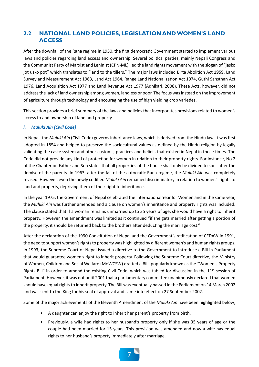## **2.2 NATIONAL LAND POLICIES, LEGISLATION AND WOMEN'S LAND ACCESS**

After the downfall of the Rana regime in 1950, the first democratic Government started to implement various laws and policies regarding land access and ownership. Several political parties, mainly Nepali Congress and the Communist Party of Marxist and Leninist (CPN-ML), led the land rights movement with the slogan of "jasko jot usko pot" which translates to "land to the tillers." The major laws included Birta Abolition Act 1959, Land Survey and Measurement Act 1963, Land Act 1964, Range Land Nationalization Act 1974, Guthi Sansthan Act 1976, Land Acquisition Act 1977 and Land Revenue Act 1977 (Adhikari, 2008). These Acts, however, did not address the lack of land ownership among women, landless or poor. The focus was instead on the improvement of agriculture through technology and encouraging the use of high yielding crop varieties.

This section provides a brief summary of the laws and policies that incorporates provisions related to women's access to and ownership of land and property.

#### *i. Muluki Ain (Civil Code)*

In Nepal, the *Muluki Ain* (Civil Code) governs inheritance laws, which is derived from the Hindu law. It was first adopted in 1854 and helped to preserve the sociocultural values as defined by the Hindu religion by legally validating the caste system and other customs, practices and beliefs that existed in Nepal in those times. The Code did not provide any kind of protection for women in relation to their property rights. For instance, No 2 of the Chapter on Father and Son states that all properties of the house shall only be divided to sons after the demise of the parents. In 1963, after the fall of the autocratic Rana regime, the *Muluki Ain* was completely revised. However, even the newly codified *Muluki Ain* remained discriminatory in relation to women's rights to land and property, depriving them of their right to inheritance.

In the year 1975, the Government of Nepal celebrated the International Year for Women and in the same year, the *Muluki Ain* was further amended and a clause on women's inheritance and property rights was included. The clause stated that if a woman remains unmarried up to 35 years of age, she would have a right to inherit property. However, the amendment was limited as it continued "if she gets married after getting a portion of the property, it should be returned back to the brothers after deducting the marriage cost."

After the declaration of the 1990 Constitution of Nepal and the Government's ratification of CEDAW in 1991, the need to support women's rights to property was highlighted by different women's and human rights groups. In 1993, the Supreme Court of Nepal issued a directive to the Government to introduce a Bill in Parliament that would guarantee women's right to inherit property. Following the Supreme Court directive, the Ministry of Women, Children and Social Welfare (MoWCSW) drafted a Bill, popularly known as the "Women's Property Rights Bill" in order to amend the existing Civil Code, which was tabled for discussion in the  $11<sup>th</sup>$  session of Parliament. However, it was not until 2001 that a parliamentary committee unanimously declared that women should have equal rights to inherit property. The Bill was eventually passed in the Parliament on 14 March 2002 and was sent to the King for his seal of approval and came into effect on 27 September 2002.

Some of the major achievements of the Eleventh Amendment of the *Muluki Ain* have been highlighted below;

- A daughter can enjoy the right to inherit her parent's property from birth.
- Previously, a wife had rights to her husband's property only if she was 35 years of age or the couple had been married for 15 years. This provision was amended and now a wife has equal rights to her husband's property immediately after marriage.

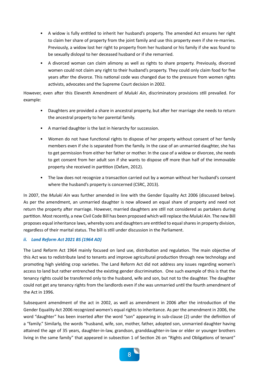- A widow is fully entitled to inherit her husband's property. The amended Act ensures her right to claim her share of property from the joint family and use this property even if she re-marries. Previously, a widow lost her right to property from her husband or his family if she was found to be sexually disloyal to her deceased husband or if she remarried.
- A divorced woman can claim alimony as well as rights to share property. Previously, divorced women could not claim any right to their husband's property. They could only claim food for five years after the divorce. This national code was changed due to the pressure from women rights activists, advocates and the Supreme Court decision in 2002.

However, even after this Eleventh Amendment of *Muluki Ain*, discriminatory provisions still prevailed. For example:

- Daughters are provided a share in ancestral property, but after her marriage she needs to return the ancestral property to her parental family.
- A married daughter is the last in hierarchy for succession.
- Women do not have functional rights to dispose of her property without consent of her family members even if she is separated from the family. In the case of an unmarried daughter, she has to get permission from either her father or mother. In the case of a widow or divorcee, she needs to get consent from her adult son if she wants to dispose off more than half of the immovable property she received in partition (Oxfam, 2012).
- The law does not recognize a transaction carried out by a woman without her husband's consent where the husband's property is concerned (CSRC, 2013).

In 2007, the *Muluki Ain* was further amended in line with the Gender Equality Act 2006 (discussed below). As per the amendment, an unmarried daughter is now allowed an equal share of property and need not return the property after marriage. However, married daughters are still not considered as partakers during partition. Most recently, a new Civil Code Bill has been proposed which will replace the *Muluki Ain*. The new Bill proposes equal inheritance laws, whereby sons and daughters are entitled to equal shares in property division, regardless of their marital status. The bill is still under discussion in the Parliament.

#### *ii. Land Reform Act 2021 BS (1964 AD)*

The Land Reform Act 1964 mainly focused on land use, distribution and regulation. The main objective of this Act was to redistribute land to tenants and improve agricultural production through new technology and promoting high yielding crop varieties. The Land Reform Act did not address any issues regarding women's access to land but rather entrenched the existing gender discrimination. One such example of this is that the tenancy rights could be transferred only to the husband, wife and son, but not to the daughter. The daughter could not get any tenancy rights from the landlords even if she was unmarried until the fourth amendment of the Act in 1996.

Subsequent amendment of the act in 2002, as well as amendment in 2006 after the introduction of the Gender Equality Act 2006 recognized women's equal rights to inheritance. As per the amendment in 2006, the word "daughter" has been inserted after the word "son" appearing in sub-clause (2) under the definition of a "family." Similarly, the words "husband, wife, son, mother, father, adopted son, unmarried daughter having attained the age of 35 years, daughter-in-law, grandson, granddaughter-in-law or elder or younger brothers living in the same family" that appeared in subsection 1 of Section 26 on "Rights and Obligations of tenant"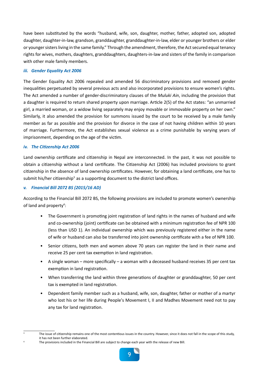have been substituted by the words "husband, wife, son, daughter, mother, father, adopted son, adopted daughter, daughter-in-law, grandson, granddaughter, granddaughter-in-law, elder or younger brothers or elder or younger sisters living in the same family." Through the amendment, therefore, the Act secured equal tenancy rights for wives, mothers, daughters, granddaughters, daughters-in-law and sisters of the family in comparison with other male family members.

#### *iii. Gender Equality Act 2006*

The Gender Equality Act 2006 repealed and amended 56 discriminatory provisions and removed gender inequalities perpetuated by several previous acts and also incorporated provisions to ensure women's rights. The Act amended a number of gender-discriminatory clauses of the *Muluki Ain*, including the provision that a daughter is required to return shared property upon marriage. Article 2(5) of the Act states: "an unmarried girl, a married woman, or a widow living separately may enjoy movable or immovable property on her own." Similarly, it also amended the provision for summons issued by the court to be received by a male family member as far as possible and the provision for divorce in the case of not having children within 10 years of marriage. Furthermore, the Act establishes sexual violence as a crime punishable by varying years of imprisonment, depending on the age of the victim.

#### *iv. The Citizenship Act 2006*

Land ownership certificate and citizenship in Nepal are interconnected. In the past, it was not possible to obtain a citizenship without a land certificate. The Citizenship Act (2006) has included provisions to grant citizenship in the absence of land ownership certificates. However, for obtaining a land certificate, one has to submit his/her citizenship<sup>3</sup> as a supporting document to the district land offices.

#### *v. Financial Bill 2072 BS (2015/16 AD)*

According to the Financial Bill 2072 BS, the following provisions are included to promote women's ownership of land and property<sup>4</sup>:

- The Government is promoting joint registration of land rights in the names of husband and wife and co-ownership (joint) certificate can be obtained with a minimum registration fee of NPR 100 (less than USD 1). An individual ownership which was previously registered either in the name of wife or husband can also be transferred into joint ownership certificate with a fee of NPR 100.
- Senior citizens, both men and women above 70 years can register the land in their name and receive 25 per cent tax exemption in land registration.
- A single woman more specifically a woman with a deceased husband receives 35 per cent tax exemption in land registration.
- When transferring the land within three generations of daughter or granddaughter, 50 per cent tax is exempted in land registration.
- Dependent family member such as a husband, wife, son, daughter, father or mother of a martyr who lost his or her life during People's Movement I, II and Madhes Movement need not to pay any tax for land registration.
- 

The provisions included in the Financial Bill are subject to change each year with the release of new Bill.



<sup>&</sup>lt;sup>3</sup> The issue of citizenship remains one of the most contentious issues in the country. However, since it does not fall in the scope of this study, it has not been further elaborated.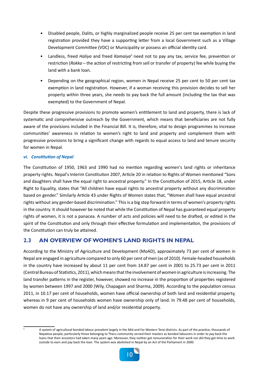- Disabled people, Dalits, or highly marginalized people receive 25 per cent tax exemption in land registration provided they have a supporting letter from a local Government such as a Village Development Committee (VDC) or Municipality or possess an official identity card.
- Landless, freed *Haliya* and freed Kamaiya<sup>5</sup> need not to pay any tax, service fee, prevention or restriction (*Rokka* – the action of restricting from sell or transfer of property) fee while buying the land with a bank loan.
- Depending on the geographical region, women in Nepal receive 25 per cent to 50 per cent tax exemption in land registration. However, if a woman receiving this provision decides to sell her property within three years, she needs to pay back the full amount (including the tax that was exempted) to the Government of Nepal.

Despite these progressive provisions to promote women's entitlement to land and property, there is lack of systematic and comprehensive outreach by the Government, which means that beneficiaries are not fully aware of the provisions included in the Financial Bill. It is, therefore, vital to design programmes to increase communities' awareness in relation to women's right to land and property and complement them with progressive provisions to bring a significant change with regards to equal access to land and tenure security for women in Nepal.

#### *vi. Constitution of Nepal*

The Constitution of 1950, 1963 and 1990 had no mention regarding women's land rights or inheritance property rights. Nepal's Interim Constitution 2007, Article 20 in relation to Rights of Women mentioned "Sons and daughters shall have the equal right to ancestral property." In the Constitution of 2015, Article 18, under Right to Equality, states that "All children have equal rights to ancestral property without any discrimination based on gender." Similarly Article 43 under Rights of Women states that, "Women shall have equal ancestral rights without any gender-based discrimination." This is a big step forward in terms of women's property rights in the country. It should however be noted that while the Constitution of Nepal has guaranteed equal property rights of women, it is not a panacea. A number of acts and policies will need to be drafted, or edited in the spirit of the Constitution and only through their effective formulation and implementation, the provisions of the Constitution can truly be attained.

## **2.3 AN OVERVIEW OF WOMEN'S LAND RIGHTS IN NEPAL**

According to the Ministry of Agriculture and Development (MoAD), approximately 73 per cent of women in Nepal are engaged in agriculture compared to only 60 per cent of men (as of 2010). Female-headed households in the country have increased by about 11 per cent from 14.87 per cent in 2001 to 25.73 per cent in 2011 (Central Bureau of Statistics, 2011), which means that the involvement of women in agriculture is increasing. The land transfer patterns in the register, however, showed no increase in the proportion of properties registered by women between 1997 and 2000 (Wily, Chapagain and Sharma, 2009). According to the population census 2011, in 10.17 per cent of households, women have official ownership of both land and residential property, whereas in 9 per cent of households women have ownership only of land. In 79.48 per cent of households, women do not have any ownership of land and/or residential property.

A system of agricultural bonded labour prevalent largely in the Mid and Far Western Terai districts. As part of the practice, thousands of Nepalese people, particularly those belonging to Tharu community served their masters as bonded labourers in order to pay back the loans that their ancestors had taken many years ago. Moreover, they neither got remuneration for their work nor did they get time to work outside to earn and pay back the loan. The system was abolished in Nepal by an Act of the Parliament in 2000.

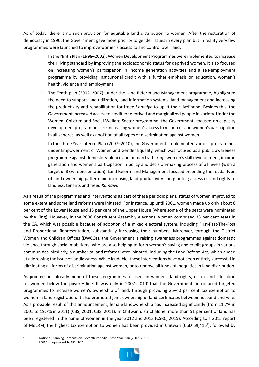As of today, there is no such provision for equitable land distribution to women. After the restoration of democracy in 1990, the Government gave more priority to gender issues in every plan but in reality very few programmes were launched to improve women's access to and control over land.

- In the Ninth Plan (1998–2002), Women Development Programmes were implemented to increase their living standard by improving the socioeconomic status for deprived women. It also focused on increasing women's participation in income generation activities and a self-employment programme by providing institutional credit with a further emphasis on education, women's health, violence and employment.
- ii. The Tenth plan (2002–2007), under the Land Reform and Management programme, highlighted the need to support land utilization, land information systems, land management and increasing the productivity and rehabilitation for freed *Kamaiya* to uplift their livelihood. Besides this, the Government increased access to credit for deprived and marginalized people in society. Under the Women, Children and Social Welfare Sector programme, the Government focused on capacity development programmes like increasing women's access to resources and women's participation in all spheres, as well as abolition of all types of discrimination against women.
- iii. In the Three Year Interim Plan (2007–2010), the Government implemented various programmes under Empowerment of Women and Gender Equality, which was focused as a public awareness programme against domestic violence and human trafficking, women's skill development, income generation and women's participation in policy and decision-making process of all levels (with a target of 33% representation). Land Reform and Management focused on ending the feudal type of land ownership pattern and increasing land productivity and granting access of land rights to landless, tenants and freed *Kamaiya*.

As a result of the programmes and interventions as part of these periodic plans, status of women improved to some extent and some land reforms were initiated. For instance, up until 2001, women made up only about 6 per cent of the Lower House and 15 per cent of the Upper House (where some of the seats were nominated by the King). However, in the 2008 Constituent Assembly elections, women comprised 33 per cent seats in the CA, which was possible because of adoption of a mixed electoral system, including First-Past-The-Post and Proportional Representation, substantially increasing their numbers. Moreover, through the District Women and Children Offices (DWCOs), the Government is raising awareness programmes against domestic violence through social mobilizers, who are also helping to form women's saving and credit groups in various communities. Similarly, a number of land reforms were initiated, including the Land Reform Act, which aimed at addressing the issue of landlessness. While laudable, these interventions have not been entirely successful in eliminating all forms of discrimination against women, or to remove all kinds of inequities in land distribution.

As pointed out already, none of these programmes focused on women's land rights, or on land allocation for women below the poverty line. It was only in 2007-2010<sup>6</sup> that the Government introduced targeted programmes to increase women's ownership of land, through providing 25–40 per cent tax exemption to women in land registration. It also promoted joint ownership of land certificates between husband and wife. As a probable result of this announcement, female landownership has increased significantly (from 11.7% in 2001 to 19.7% in 2011) (CBS, 2001; CBS, 2011). In Chitwan district alone, more than 51 per cent of land has been registered in the name of women in the year 2012 and 2013 (CSRC, 2015). According to a 2015 report of MoLRM, the highest tax exemption to women has been provided in Chitwan (USD 59,4157), followed by

USD 1 is equivalent to NPR 107.



<sup>6</sup> National Planning Commission Eleventh Periodic Three Year Plan (2007–2010).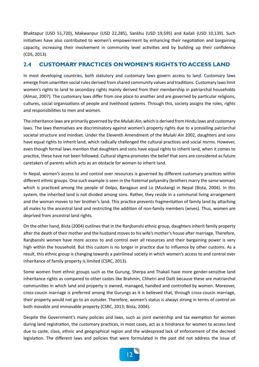Bhaktapur (USD 51,720), Makwanpur (USD 22,285), Sankhu (USD 19,595) and Kailali (USD 10,139). Such initiatives have also contributed to women's empowerment by enhancing their negotiation and bargaining capacity, increasing their involvement in community level activities and by building up their confidence (CDS, 2013).

## **2.4 CUSTOMARY PRACTICES ON WOMEN'S RIGHTS TO ACCESS LAND**

In most developing countries, both statutory and customary laws govern access to land. Customary laws emerge from unwritten social rules derived from shared community values and traditions. Customary laws limit women's rights to land to secondary rights mainly derived from their membership in patriarchal households (Almaz, 2007). The customary laws differ from one place to another and are governed by particular religions, cultures, social organizations of people and livelihood systems. Through this, society assigns the roles, rights and responsibilities to men and women.

The inheritance laws are primarily governed by the *Muluki Ain*, which is derived from Hindu laws and customary laws. The laws themselves are discriminatory against women's property rights due to a prevailing patriarchal societal structure and mindset. Under the Eleventh Amendment of the *Muluki Ain* 2002, daughters and sons have equal rights to inherit land, which radically challenged the cultural practices and social norms. However, even though formal laws mention that daughters and sons have equal rights to inherit land, when it comes to practice, these have not been followed. Cultural stigma promotes the belief that sons are considered as future caretakers of parents which acts as an obstacle for women to inherit land.

In Nepal, women's access to and control over resources is governed by different customary practices within different ethnic groups. One such example is seen in the fraternal polyandry (brothers marry the same woman) which is practiced among the people of Dolpo, Baragaun and Lo (Mustang) in Nepal (Bista, 2004). In this system, the inherited land is not divided among sons. Rather, they reside in a communal living arrangement and the woman moves to her brother's land. This practice prevents fragmentation of family land by attaching all males to the ancestral land and restricting the addition of non-family members (wives). Thus, women are deprived from ancestral land rights.

On the other hand, Bista (2004) outlines that in the Ranjbanshi ethnic group, daughters inherit family property after the death of their mother and the husband moves to his wife's mother's house after marriage. Therefore, Ranjbanshi women have more access to and control over all resources and their bargaining power is very high within the household. But this custom is no longer in practice due to influence by other customs. As a result, this ethnic group is changing towards a patrilineal society in which women's access to and control over inheritance of family property is limited (CSRC, 2013).

Some women from ethnic groups such as the Gurung, Sherpa and Thakali have more gender-sensitive land inheritance rights as compared to other castes like Brahmin, Chhetri and Dalit because these are matriarchal communities in which land and property is owned, managed, handled and controlled by women. Moreover, cross-cousin marriage is preferred among the Gurungs as it is believed that, through cross-cousin marriage, their property would not go to an outsider. Therefore, women's status is always strong in terms of control on both movable and immovable property (CSRC, 2013; Bista, 2004).

Despite the Government's many policies and laws, such as joint ownership and tax exemption for women during land registration, the customary practices, in most cases, act as a hindrance for women to access land due to caste, class, ethnic and geographical region and the widespread lack of enforcement of the decreed legislation. The different laws and policies that were formulated in the past did not address the issue of

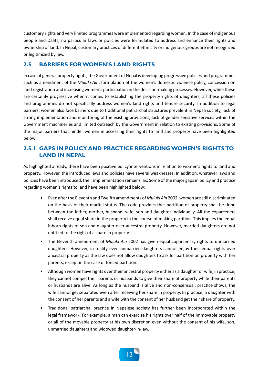customary rights and very limited programmes were implemented regarding women. In the case of indigenous people and Dalits, no particular laws or policies were formulated to address and enhance their rights and ownership of land. In Nepal, customary practices of different ethnicity or indigenous groups are not recognized or legitimized by law.

### **2.5 BARRIERS FOR WOMEN'S LAND RIGHTS**

In case of general property rights, the Government of Nepal is developing progressive policies and programmes such as amendment of the *Muluki Ain*, formulation of the women's domestic violence policy, concession on land registration and increasing women's participation in the decision-making processes. However, while these are certainly progressive when it comes to establishing the property rights of daughters, all these policies and programmes do not specifically address women's land rights and tenure security. In addition to legal barriers, women also face barriers due to traditional patriarchal structures prevalent in Nepali society, lack of strong implementation and monitoring of the existing provisions, lack of gender sensitive services within the Government machineries and limited outreach by the Government in relation to existing provisions. Some of the major barriers that hinder women in accessing their rights to land and property have been highlighted below:

## **2.5.1 GAPS IN POLICY AND PRACTICE REGARDING WOMEN'S RIGHTS TO LAND IN NEPAL**

As highlighted already, there have been positive policy interventions in relation to women's rights to land and property. However, the introduced laws and policies have several weaknesses. In addition, whatever laws and policies have been introduced, their implementation remains lax. Some of the major gaps in policy and practice regarding women's rights to land have been highlighted below:

- Even after the Eleventh and Twelfth amendments of *Muluki Ain* 2002, women are still discriminated on the basis of their marital status. The code provides that partition of property shall be done between the father, mother, husband, wife, son and daughter individually. All the coparceners shall receive equal share in the property in the course of making partition. This implies the equal inborn rights of son and daughter over ancestral property. However, married daughters are not entitled to the right of a share in property.
- The Eleventh amendment of *Muluki Ain* 2002 has given equal coparcenary rights to unmarried daughters. However, in reality even unmarried daughters cannot enjoy their equal rights over ancestral property as the law does not allow daughters to ask for partition on property with her parents, except in the case of forced partition.
- Although women have rights over their ancestral property either as a daughter or wife, in practice, they cannot compel their parents or husbands to give their share of property while their parents or husbands are alive. As long as the husband is alive and non-consensual, practice shows, the wife cannot get separated even after receiving her share in property. In practice, a daughter with the consent of her parents and a wife with the consent of her husband get their share of property.
- Traditional patriarchal practice in Nepalese society has further been incorporated within the legal framework. For example, a man can exercise his rights over half of the immovable property or all of the movable property at his own discretion even without the consent of his wife, son, unmarried daughters and widowed daughter-in-law.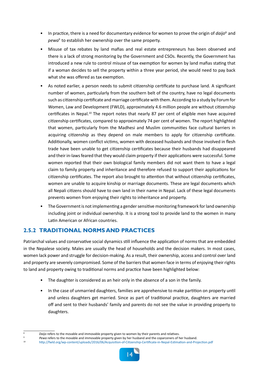- In practice, there is a need for documentary evidence for women to prove the origin of *daijo*<sup>8</sup> and pewa<sup>9</sup> to establish her ownership over the same property.
- Misuse of tax rebates by land mafias and real estate entrepreneurs has been observed and there is a lack of strong monitoring by the Government and CSOs. Recently, the Government has introduced a new rule to control misuse of tax exemption for women by land mafias stating that if a woman decides to sell the property within a three year period, she would need to pay back what she was offered as tax exemption.
- As noted earlier, a person needs to submit citizenship certificate to purchase land. A significant number of women, particularly from the southern belt of the country, have no legal documents such as citizenship certificate and marriage certificate with them. According to a study by Forum for Women, Law and Development (FWLD), approximately 4.6 million people are without citizenship certificates in Nepal.<sup>10</sup> The report notes that nearly 87 per cent of eligible men have acquired citizenship certificates, compared to approximately 74 per cent of women. The report highlighted that women, particularly from the Madhesi and Muslim communities face cultural barriers in acquiring citizenship as they depend on male members to apply for citizenship certificate. Additionally, women conflict victims, women with deceased husbands and those involved in flesh trade have been unable to get citizenship certificates because their husbands had disappeared and their in-laws feared that they would claim property if their applications were successful. Some women reported that their own biological family members did not want them to have a legal claim to family property and inheritance and therefore refused to support their applications for citizenship certificates. The report also brought to attention that without citizenship certificates, women are unable to acquire kinship or marriage documents. These are legal documents which all Nepali citizens should have to own land in their name in Nepal. Lack of these legal documents prevents women from enjoying their rights to inheritance and property.
- The Government is not implementing a gender sensitive monitoring framework for land ownership including joint or individual ownership. It is a strong tool to provide land to the women in many Latin American or African countries.

## **2.5.2 TRADITIONAL NORMS AND PRACTICES**

Patriarchal values and conservative social dynamics still influence the application of norms that are embedded in the Nepalese society. Males are usually the head of households and the decision makers. In most cases, women lack power and struggle for decision-making. As a result, their ownership, access and control over land and property are severely compromised. Some of the barriers that women face in terms of enjoying their rights to land and property owing to traditional norms and practice have been highlighted below:

- The daughter is considered as an heir only in the absence of a son in the family.
- In the case of unmarried daughters, families are apprehensive to make partition on property until and unless daughters get married. Since as part of traditional practice, daughters are married off and sent to their husbands' family and parents do not see the value in providing property to daughters.

<sup>9</sup> *Pewa* refers to the movable and immovable property given by her husband and the coparceners of her husband.

<sup>10</sup> <http://fwld.org/wp-content/uploads/2016/06/Acquisition-of-Citizenship-Certificate-in-Nepal-Estimation-and-Projection.pdf>



Daijo refers to the movable and immovable property given to women by their parents and relatives.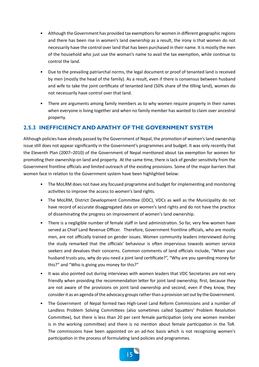- Although the Government has provided tax exemptions for women in different geographic regions and there has been rise in women's land ownership as a result, the irony is that women do not necessarily have the control over land that has been purchased in their name. It is mostly the men of the household who just use the woman's name to avail the tax exemption, while continue to control the land.
- Due to the prevailing patriarchal norms, the legal document or proof of tenanted land is received by men (mostly the head of the family). As a result, even if there is consensus between husband and wife to take the joint certificate of tenanted land (50% share of the tilling land), women do not necessarily have control over that land.
- There are arguments among family members as to why women require property in their names when everyone is living together and when no family member has wanted to claim over ancestral property.

## **2.5.3 INEFFICIENCY AND APATHY OF THE GOVERNMENT SYSTEM**

Although policies have already passed by the Government of Nepal, the promotion of women's land ownership issue still does not appear significantly in the Government's programmes and budget. It was only recently that the Eleventh Plan (2007–2010) of the Government of Nepal mentioned about tax exemption for women for promoting their ownership on land and property. At the same time, there is lack of gender sensitivity from the Government frontline officials and limited outreach of the existing provisions. Some of the major barriers that women face in relation to the Government system have been highlighted below:

- The MoLRM does not have any focused programme and budget for implementing and monitoring activities to improve the access to women's land rights.
- The MoLRM, District Development Committee (DDC), VDCs as well as the Municipality do not have record of accurate disaggregated data on women's land rights and do not have the practice of disseminating the progress on improvement of women's land ownership.
- There is a negligible number of female staff in land administration. So far, very few women have served as Chief Land Revenue Officer. Therefore, Government frontline officials, who are mostly men, are not officially trained on gender issues. Women community leaders interviewed during the study remarked that the officials' behaviour is often impervious towards women service seekers and devalues their concerns. Common comments of land officials include, "When your husband trusts you, why do you need a joint land certificate?", "Why are you spending money for this?" and "Who is giving you money for this?"
- It was also pointed out during interviews with women leaders that VDC Secretaries are not very friendly when providing the recommendation letter for joint land ownership; first, because they are not aware of the provisions on joint land ownership and second, even if they know, they consider it as an agenda of the advocacy groups rather than a provision set out by the Government.
- The Government of Nepal formed two High-Level Land Reform Commissions and a number of Landless Problem Solving Committees (also sometimes called Squatters' Problem Resolution Committee), but there is less than 20 per cent female participation (only one women member is in the working committee) and there is no mention about female participation in the ToR. The commissions have been appointed on an ad-hoc basis which is not recognizing women's participation in the process of formulating land policies and programmes.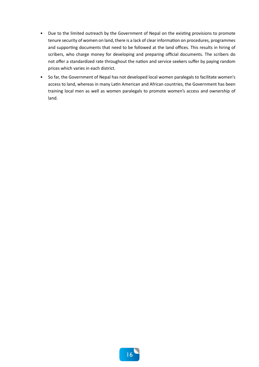- Due to the limited outreach by the Government of Nepal on the existing provisions to promote tenure security of women on land, there is a lack of clear information on procedures, programmes and supporting documents that need to be followed at the land offices. This results in hiring of scribers, who charge money for developing and preparing official documents. The scribers do not offer a standardized rate throughout the nation and service seekers suffer by paying random prices which varies in each district.
- So far, the Government of Nepal has not developed local women paralegals to facilitate women's access to land, whereas in many Latin American and African countries, the Government has been training local men as well as women paralegals to promote women's access and ownership of land.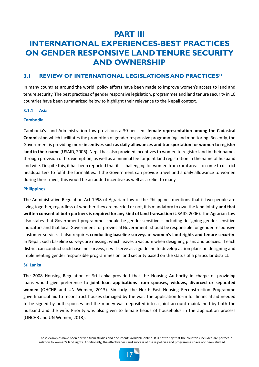## **PART III INTERNATIONAL EXPERIENCES-BEST PRACTICES ON GENDER RESPONSIVE LAND TENURE SECURITY AND OWNERSHIP**

### **3.1 REVIEW OF INTERNATIONAL LEGISLATIONS AND PRACTICES''**

In many countries around the world, policy efforts have been made to improve women's access to land and tenure security. The best practices of gender responsive legislation, programmes and land tenure security in 10 countries have been summarized below to highlight their relevance to the Nepali context.

#### **3.1.1 Asia**

#### **Cambodia**

Cambodia's Land Administration Law provisions a 30 per cent **female representation among the Cadastral Commission** which facilitates the promotion of gender responsive programming and monitoring. Recently, the Government is providing more **incentives such as daily allowances and transportation for women to register land in their name** (USAID, 2006). Nepal has also provided incentives to women to register land in their names through provision of tax exemption, as well as a minimal fee for joint land registration in the name of husband and wife. Despite this, it has been reported that it is challenging for women from rural areas to come to district headquarters to fulfil the formalities. If the Government can provide travel and a daily allowance to women during their travel, this would be an added incentive as well as a relief to many.

#### **Philippines**

The Administrative Regulation Act 1998 of Agrarian Law of the Philippines mentions that if two people are living together, regardless of whether they are married or not, it is mandatory to own the land jointly **and that written consent of both partners is required for any kind of land transaction** (USAID, 2006). The Agrarian Law also states that Government programmes should be gender sensitive – including designing gender sensitive indicators and that local Government or provincial Government should be responsible for gender responsive customer service. It also requires **conducting baseline surveys of women's land rights and tenure security**. In Nepal, such baseline surveys are missing, which leaves a vacuum when designing plans and policies. If each district can conduct such baseline surveys, it will serve as a guideline to develop action plans on designing and implementing gender responsible programmes on land security based on the status of a particular district.

#### **Sri Lanka**

The 2008 Housing Regulation of Sri Lanka provided that the Housing Authority in charge of providing loans would give preference to **joint loan applications from spouses, widows, divorced or separated women** (OHCHR and UN Women, 2013). Similarly, the North East Housing Reconstruction Programme gave financial aid to reconstruct houses damaged by the war. The application form for financial aid needed to be signed by both spouses and the money was deposited into a joint account maintained by both the husband and the wife. Priority was also given to female heads of households in the application process (OHCHR and UN Women, 2013).

 $\frac{11}{11}$  These examples have been derived from studies and documents available online. It is not to say that the countries included are perfect in relation to women's land rights. Additionally, the effectiveness and success of these policies and programmes have not been studied.

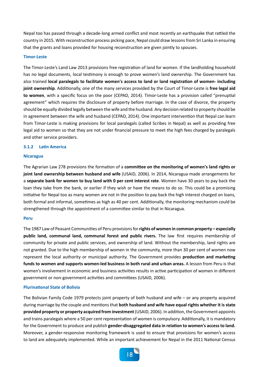Nepal too has passed through a decade-long armed conflict and most recently an earthquake that rattled the country in 2015. With reconstruction process picking pace, Nepal could draw lessons from Sri Lanka in ensuring that the grants and loans provided for housing reconstruction are given jointly to spouses.

#### **Timor-Leste**

The Timor-Leste's Land Law 2013 provisions free registration of land for women. If the landholding household has no legal documents, local testimony is enough to prove women's land ownership. The Government has also trained **local paralegals to facilitate women's access to land or land registration of women- including joint ownership**. Additionally, one of the many services provided by the Court of Timor-Leste is **free legal aid to women**, with a specific focus on the poor (CEPAD, 2014). Timor-Leste has a provision called "prenuptial agreement" which requires the disclosure of property before marriage. In the case of divorce, the property should be equally divided legally between the wife and the husband. Any decision related to property should be in agreement between the wife and husband (CEPAD, 2014). One important intervention that Nepal can learn from Timor-Leste is making provisions for local paralegals (called Scribes in Nepal) as well as providing free legal aid to women so that they are not under financial pressure to meet the high fees charged by paralegals and other service providers.

#### **3.1.2 Latin America**

#### **Nicaragua**

The Agrarian Law 278 provisions the formation of a **committee on the monitoring of women's land rights or joint land ownership between husband and wife** (USAID, 2006). In 2014, Nicaragua made arrangements for a **separate bank for women to buy land with 0 per cent interest rate**. Women have 30 years to pay back the loan they take from the bank, or earlier if they wish or have the means to do so. This could be a promising initiative for Nepal too as many women are not in the position to pay back the high interest charged on loans, both formal and informal, sometimes as high as 40 per cent. Additionally, the monitoring mechanism could be strengthened through the appointment of a committee similar to that in Nicaragua.

#### **Peru**

The 1987 Law of Peasant Communities of Peru provisions for **rights of women in common property – especially public land, communal land, communal forest and public rivers.** The law  first  requires membership of community for private and public services, and ownership of land. Without the membership, land rights are not granted. Due to the high membership of women in the community, more than 30 per cent of women now represent the local authority or municipal authority. The Government provides **production and marketing funds to women and supports women-led business in both rural and urban areas.** A lesson from Peru is that women's involvement in economic and business activities results in active participation of women in different government or non-government activities and committees (USAID, 2006).

#### **Plurinational State of Bolivia**

The Bolivian Family Code 1979 protects joint property of both husband and wife – or any property acquired during marriage by the couple and mentions that **both husband and wife have equal rights whether it is state provided property or property acquired from investment** (USAID, 2006). In addition, the Government appoints and trains paralegals where a 50 per cent representation of women is compulsory. Additionally, it is mandatory for the Government to produce and publish **gender-disaggregated data in relation to women's access to land.** Moreover, a gender-responsive monitoring framework is used to ensure that provisions for women's access to land are adequately implemented. While an important achievement for Nepal in the 2011 National Census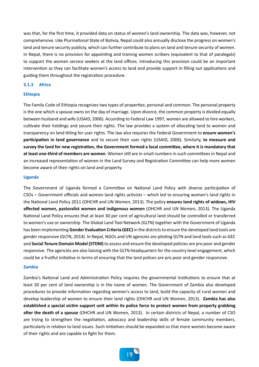was that, for the first time, it provided data on status of women's land ownership. The data was, however, not comprehensive. Like Plurinational State of Bolivia, Nepal could also annually disclose the progress on women's land and tenure security publicly, which can further contribute to plans on land and tenure security of women. In Nepal, there is no provision for appointing and training women scribers (equivalent to that of paralegals) to support the women service seekers at the land offices. Introducing this provision could be an important intervention as they can facilitate women's access to land and provide support in filling out applications and guiding them throughout the registration procedure.

#### **3.1.3 Africa**

#### **Ethiopia**

The Family Code of Ethiopia recognizes two types of properties; personal and common. The personal property is the one which a spouse owns on the day of marriage. Upon divorce, the common property is divided equally between husband and wife (USAID, 2006). According to Federal Law 1997, women are allowed to hire workers, cultivate their holdings and secure their rights. The law provides a system of allocating land to women and transparency on land titling for user rights. The law also requires the Federal Government to **ensure women's participation in land governance** and to secure their user rights (USAID, 2006). Similarly, **to measure and survey the land for new registration, the Government formed a local committee, where it is mandatory that at least one-third of members are women**. Women still are in small numbers in such committees in Nepal and an increased representation of women in the Land Survey and Registration Committee can help more women become aware of their rights on land and property.

#### **Uganda**

The Government of Uganda formed a Committee on National Land Policy with diverse participation of CSOs – Government officials and women land rights activists – which led to ensuring women's land rights in the National Land Policy 2011 (OHCHR and UN Women, 2013). The policy **ensures land rights of widows, HIV affected women, pastoralist women and indigenous women** (OHCHR and UN Women, 2013). The Uganda National Land Policy ensures that at least 30 per cent of agricultural land should be controlled or transferred to women's use or ownership. The Global Land Tool Network (GLTN) together with the Government of Uganda has been implementing **Gender Evaluation Criteria (GEC)** in the districts to ensure the developed land tools are gender responsive (GLTN, 2014). In Nepal, NGOs and UN agencies are piloting GLTN and land tools such as GEC and **Social Tenure Domain Model (STDM)** to assess and ensure the developed policies are pro poor and gender responsive. The agencies are also liaising with the GLTN headquarters for the country level engagement, which could be a fruitful initiative in terms of ensuring that the land polices are pro poor and gender responsive.

#### **Zambia**

Zambia's National Land and Administration Policy requires the governmental institutions to ensure that at least 30 per cent of land ownership is in the name of women. The Government of Zambia also developed procedures to provide information regarding women's access to land, build the capacity of rural women and develop leadership of women to ensure their land rights (OHCHR and UN Women, 2013). **Zambia has also established a special victim support unit within its police force to protect women from property grabbing after the death of a spouse** (OHCHR and UN Women, 2013). In certain districts of Nepal, a number of CSO are trying to strengthen the negotiation, advocacy and leadership skills of female community members, particularly in relation to land issues. Such initiatives should be expanded so that more women become aware of their rights and are capable to fight for them.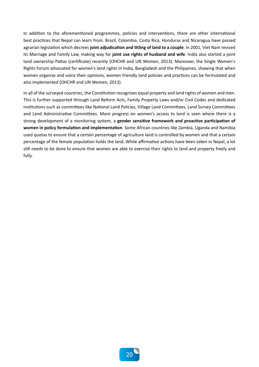In addition to the aforementioned programmes, policies and interventions, there are other international best practices that Nepal can learn from. Brazil, Colombia, Costa Rica, Honduras and Nicaragua have passed agrarian legislation which decrees **joint adjudication and titling of land to a couple**. In 2001, Viet Nam revised its Marriage and Family Law, making way for **joint use rights of husband and wife**. India also started a joint land ownership Pattas (certificate) recently (OHCHR and UN Women, 2013). Moreover, the Single Women's Rights Forum advocated for women's land rights in India, Bangladesh and the Philippines, showing that when women organize and voice their opinions, women friendly land policies and practices can be formulated and also implemented (OHCHR and UN Women, 2013).

In all of the surveyed countries, the Constitution recognizes equal property and land rights of women and men. This is further supported through Land Reform Acts, Family Property Laws and/or Civil Codes and dedicated institutions such as committees like National Land Policies, Village Land Committees, Land Survey Committees and Land Administrative Committees. More progress on women's access to land is seen where there is a strong development of a monitoring system, a **gender sensitive framework and proactive participation of women in policy formulation and implementation**. Some African countries like Zambia, Uganda and Namibia used quotas to ensure that a certain percentage of agriculture land is controlled by women and that a certain percentage of the female population holds the land. While affirmative actions have been taken in Nepal, a lot still needs to be done to ensure that women are able to exercise their rights to land and property freely and fully.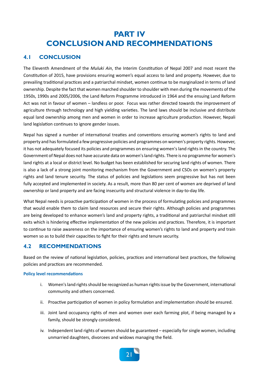## **PART IV CONCLUSION AND RECOMMENDATIONS**

## **4.1 CONCLUSION**

The Eleventh Amendment of the *Muluki Ain*, the Interim Constitution of Nepal 2007 and most recent the Constitution of 2015, have provisions ensuring women's equal access to land and property. However, due to prevailing traditional practices and a patriarchal mindset, women continue to be marginalized in terms of land ownership. Despite the fact that women marched shoulder to shoulder with men during the movements of the 1950s, 1990s and 2005/2006, the Land Reform Programme introduced in 1964 and the ensuing Land Reform Act was not in favour of women – landless or poor. Focus was rather directed towards the improvement of agriculture through technology and high yielding varieties. The land laws should be inclusive and distribute equal land ownership among men and women in order to increase agriculture production. However, Nepali land legislation continues to ignore gender issues.

Nepal has signed a number of international treaties and conventions ensuring women's rights to land and property and has formulated a few progressive policies and programmes on women's property rights. However, it has not adequately focused its policies and programmes on ensuring women's land rights in the country. The Government of Nepal does not have accurate data on women's land rights. There is no programme for women's land rights at a local or district level. No budget has been established for securing land rights of women. There is also a lack of a strong joint monitoring mechanism from the Government and CSOs on women's property rights and land tenure security. The status of policies and legislations seem progressive but has not been fully accepted and implemented in society. As a result, more than 80 per cent of women are deprived of land ownership or land property and are facing insecurity and structural violence in day-to-day life.

What Nepal needs is proactive participation of women in the process of formulating policies and programmes that would enable them to claim land resources and secure their rights. Although policies and programmes are being developed to enhance women's land and property rights, a traditional and patriarchal mindset still exits which is hindering effective implementation of the new policies and practices. Therefore, it is important to continue to raise awareness on the importance of ensuring women's rights to land and property and train women so as to build their capacities to fight for their rights and tenure security.

## **4.2 RECOMMENDATIONS**

Based on the review of national legislation, policies, practices and international best practices, the following policies and practices are recommended.

#### **Policy level recommendations**

- i. Women's land rights should be recognized as human rights issue by the Government, international community and others concerned.
- ii. Proactive participation of women in policy formulation and implementation should be ensured.
- iii. Joint land occupancy rights of men and women over each farming plot, if being managed by a family, should be strongly considered.
- iv. Independent land rights of women should be guaranteed especially for single women, including unmarried daughters, divorcees and widows managing the field.

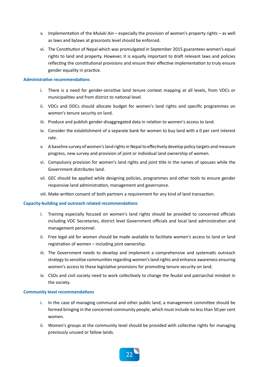- v. Implementation of the *Muluki Ain* especially the provision of women's property rights as well as laws and bylaws at grassroots level should be enforced.
- vi. The Constitution of Nepal which was promulgated in September 2015 guarantees women's equal rights to land and property. However, it is equally important to draft relevant laws and policies reflecting the constitutional provisions and ensure their effective implementation to truly ensure gender equality in practice.

#### **Administrative recommendations**

- i. There is a need for gender-sensitive land tenure context mapping at all levels, from VDCs or municipalities and from district to national level.
- ii. VDCs and DDCs should allocate budget for women's land rights and specific programmes on women's tenure security on land.
- iii. Produce and publish gender-disaggregated data in relation to women's access to land.
- iv. Consider the establishment of a separate bank for women to buy land with a 0 per cent interest rate.
- v. A baseline survey of women's land rights in Nepal to effectively develop policy targets and measure progress, new survey and provision of joint or individual land ownership of women.
- vi. Compulsory provision for women's land rights and joint title in the names of spouses while the Government distributes land.
- vii. GEC should be applied while designing policies, programmes and other tools to ensure gender responsive land administration, management and governance.
- viii. Make written consent of both partners a requirement for any kind of land transaction.

#### **Capacity-building and outreach related recommendations**

- i. Training especially focused on women's land rights should be provided to concerned officials including VDC Secretaries, district level Government officials and local land administration and management personnel.
- ii. Free legal aid for women should be made available to facilitate women's access to land or land registration of women – including joint ownership.
- iii. The Government needs to develop and implement a comprehensive and systematic outreach strategy to sensitize communities regarding women's land rights and enhance awareness ensuring women's access to these legislative provisions for promoting tenure security on land.
- iv. CSOs and civil society need to work collectively to change the feudal and patriarchal mindset in the society.

#### **Community level recommendations**

- i. In the case of managing communal and other public land, a management committee should be formed bringing in the concerned community people, which must include no less than 50 per cent women.
- ii. Women's groups at the community level should be provided with collective rights for managing previously unused or fallow lands.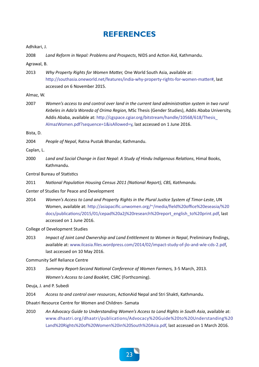## **REFERENCES**

Adhikari, J.

2008 *Land Reform in Nepal: Problems and Prospects*, NIDS and Action Aid, Kathmandu.

Agrawal, B.

2013 *Why Property Rights for Women Matter,* One World South Asia, available at: [http://southasia.oneworld.net/features/india-why-property-rights-for-women-matter#](southasia.oneworld.net/features/india-why-property-rights-for-women-matter#), last accessed on 6 November 2015.

Almaz, W.

2007 *Women's access to and control over land in the current land administration system in two rural Kebeles in Ada'a Woreda of Orima Region,* MSc Thesis (Gender Studies), Addis Ababa University, Addis Ababa, available at: [http://cgspace.cgiar.org/bitstream/handle/10568/618/Thesis\\_](cgspace.cgiar.org/bitstream/handle/10568/618/Thesis_AlmazWomen.pdf?sequence=1&isAllowed=y) [AlmazWomen.pdf?sequence=1&isAllowed=y](cgspace.cgiar.org/bitstream/handle/10568/618/Thesis_AlmazWomen.pdf?sequence=1&isAllowed=y), last accessed on 1 June 2016.

Bista, D.

2004 *People of Nepal*, Ratna Pustak Bhandar, Kathmandu.

Caplan, L.

2000 *Land and Social Change in East Nepal: A Study of Hindu Indigenous Relations*, Himal Books, Kathmandu.

Central Bureau of Statistics

2011 *National Population Housing Census 2011 (National Report), CBS, Kathmandu.*

Center of Studies for Peace and Development

2014 *Women's Access to Land and Property Rights in the Plural Justice System of Timor-Leste*, UN Women, available at: [http://asiapacific.unwomen.org/~/media/field%20office%20eseasia/%20](asiapacific.unwomen.org/~/media/field%20office%20eseasia/%20docs/publications/2015/01/cepad%20a2j%20research%20report_english_to%20print.pdf) [docs/publications/2015/01/cepad%20a2j%20research%20report\\_english\\_to%20print.pdf](asiapacific.unwomen.org/~/media/field%20office%20eseasia/%20docs/publications/2015/01/cepad%20a2j%20research%20report_english_to%20print.pdf), last accessed on 1 June 2016.

College of Development Studies

2013 *Impact of Joint Land Ownership and Land Entitlement to Women in Nepal*, Preliminary findings, available at: <www.ilcasia.files.wordpress.com/2014/02/impact-study-of-jlo-and-wle-cds-2.pdf>, last accessed on 10 May 2016.

Community Self Reliance Centre

2013 *Summary Report-Second National Conference of Women Farmers,* 3-5 March, 2013. *Women's Access to Land Booklet,* CSRC (Forthcoming).

Deuja, J. and P. Subedi

2014 *Access to and control over resources*, ActionAid Nepal and Stri Shakti, Kathmandu.

Dhaatri Resource Centre for Women and Children- Samata

2010 *An Advocacy Guide to Understanding Women's Access to Land Rights in South Asia*, available at: [www.dhaatri.org/dhaatri/publications/Advocacy%20Guide%20to%20Understanding%20](www.dhaatri.org/dhaatri/publications/Advocacy%20Guide%20to%20Understanding%20Land%20Rights%20of%20Women%20in%20South%20Asia.pdf) [Land%20Rights%20of%20Women%20in%20South%20Asia.pdf,](www.dhaatri.org/dhaatri/publications/Advocacy%20Guide%20to%20Understanding%20Land%20Rights%20of%20Women%20in%20South%20Asia.pdf) last accessed on 1 March 2016.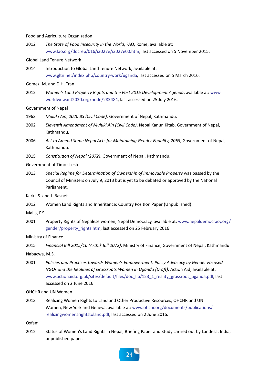#### Food and Agriculture Organization

2012 *The State of Food Insecurity in the World*, FAO, Rome, available at: <www.fao.org/docrep/016/i3027e/i3027e00.htm>, last accessed on 5 November 2015.

#### Global Land Tenure Network

2014 Introduction to Global Land Tenure Network, available at: <www.gltn.net/index.php/country-work/uganda>, last accessed on 5 March 2016.

#### Gomez, M. and D.H. Tran

2012 *Women's Land Property Rights and the Post 2015 Development Agenda*, available at: [www.](www.worldwewant2030.org/node/283484) [worldwewant2030.org/node/283484](www.worldwewant2030.org/node/283484), last accessed on 25 July 2016.

#### Government of Nepal

- 1963 *Muluki Ain, 2020 BS (Civil Code),* Government of Nepal, Kathmandu.
- 2002 *Eleventh Amendment of Muluki Ain (Civil Code)*, Nepal Kanun Kitab, Government of Nepal, Kathmandu.
- 2006 *Act to Amend Some Nepal Acts for Maintaining Gender Equality, 2063*, Government of Nepal, Kathmandu.
- 2015 *Constitution of Nepal (2072)*, Government of Nepal, Kathmandu.

#### Government of Timor-Leste

2013 *Special Regime for Determination of Ownership of Immovable Property* was passed by the Council of Ministers on July 9, 2013 but is yet to be debated or approved by the National Parliament.

Karki, S. and J. Basnet

2012 Women Land Rights and Inheritance: Country Position Paper (Unpublished).

Malla, P.S.

2001 Property Rights of Nepalese women, Nepal Democracy, available at: [www.nepaldemocracy.org/](www.nepaldemocracy.org/gender/property_rights.htm) [gender/property\\_rights.htm](www.nepaldemocracy.org/gender/property_rights.htm), last accessed on 25 February 2016.

Ministry of Finance

```
2015 Financial Bill 2015/16 (Arthik Bill 2072), Ministry of Finance, Government of Nepal, Kathmandu.
```
Nabacwa, M.S.

2001 *Policies and Practices towards Women's Empowerment: Policy Advocacy by Gender Focused NGOs and the Realities of Grassroots Women in Uganda (Draft),* Action Aid, available at: [www.actionaid.org.uk/sites/default/files/doc\\_lib/123\\_1\\_reality\\_grassroot\\_uganda.pdf](www.actionaid.org.uk/sites/default/files/doc_lib/123_1_reality_grassroot_uganda.pdf), last accessed on 2 June 2016.

OHCHR and UN Women

2013 Realizing Women Rights to Land and Other Productive Resources, OHCHR and UN Women, New York and Geneva, available at: [www.ohchr.org/documents/publications/](www.ohchr.org/documents/publications/realizingwomensrightstoland.pdf) [realizingwomensrightstoland.pdf,](www.ohchr.org/documents/publications/realizingwomensrightstoland.pdf) last accessed on 2 June 2016.

Oxfam

2012 Status of Women's Land Rights in Nepal, Briefing Paper and Study carried out by Landesa, India, unpublished paper.

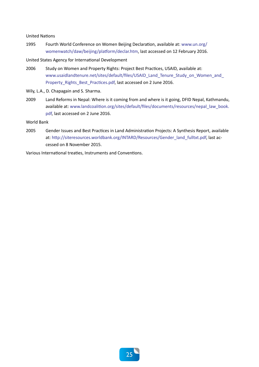#### United Nations

1995 Fourth World Conference on Women Beijing Declaration, available at: [www.un.org/](www.un.org/womenwatch/daw/beijing/platform/declar.htm) [womenwatch/daw/beijing/platform/declar.htm](www.un.org/womenwatch/daw/beijing/platform/declar.htm), last accessed on 12 February 2016.

#### United States Agency for International Development

- 2006 Study on Women and Property Rights: Project Best Practices, USAID, available at: [www.usaidlandtenure.net/sites/default/files/USAID\\_Land\\_Tenure\\_Study\\_on\\_Women\\_and\\_](www.usaidlandtenure.net/sites/default/files/USAID_Land_Tenure_Study_on_Women_and_Property_Rights_Best_Practices.pdf) [Property\\_Rights\\_Best\\_Practices.pdf,](www.usaidlandtenure.net/sites/default/files/USAID_Land_Tenure_Study_on_Women_and_Property_Rights_Best_Practices.pdf) last accessed on 2 June 2016.
- Wily, L.A., D. Chapagain and S. Sharma.
- 2009 Land Reforms in Nepal: Where is it coming from and where is it going, DFID Nepal, Kathmandu, available at: [www.landcoalition.org/sites/default/files/documents/resources/nepal\\_law\\_book.](www.landcoalition.org/sites/default/files/documents/resources/nepal_law_book.pdf) [pdf](www.landcoalition.org/sites/default/files/documents/resources/nepal_law_book.pdf), last accessed on 2 June 2016.

World Bank

2005 Gender Issues and Best Practices in Land Administration Projects: A Synthesis Report, available at: [http://siteresources.worldbank.org/INTARD/Resources/Gender\\_land\\_fulltxt.pdf](siteresources.worldbank.org/INTARD/Resources/Gender_land_fulltxt.pdf), last accessed on 8 November 2015.

Various International treaties, Instruments and Conventions.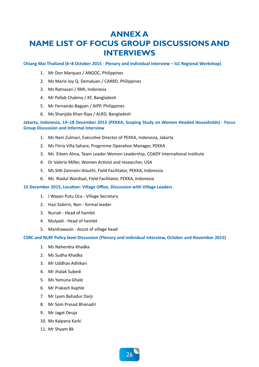## **ANNEX A NAME LIST OF FOCUS GROUP DISCUSSIONS AND INTERVIEWS**

**Chiang Mai Thailand (6–8 October 2015 - Plenary and Individual Interview – ILC Regional Workshop)** 

- 1. Mr Don Marquez / ANGOC, Philippines
- 2. Ms Marie Joy Q. Demaluan / CARRD, Philippines
- 3. Ms Ratnasari / RMI, Indonesia
- 4. Mr Pallab Chakma / KF, Bangladesh
- 5. Mr Fernando Bagyan / AIPP, Philippines
- 6. Ms Shanjida Khan Ripa / ALRD, Bangladesh

**Jakarta, Indonesia, 14–18 December 2015 (PEKKA, Scoping Study on Women Headed Households) - Focus Group Discussion and Informal Interview**

- 1. Ms Nani Zulmari, Executive Director of PEKKA, Indonesia, Jakarta
- 2. Ms Fitria Villa Sahara, Progrmme Operation Manager, PEKKA
- 3. Ms Eileen Alma, Team Leader Women Leadership, COADY International Institute
- 4. Dr Valerie Miller, Women Activist and researcher, USA
- 5. Ms Sitti Zamraini Alauthi, Field Facilitator, PEKKA, Indonesia
- 6. Ms Riadul Wardiyal, Field Facilitator, PEKKA, Indonesia

#### **15 December 2015, Location: Village Office, Discussion with Village Leaders**

- 1. I Wayan Putu Oca Village Secretary
- 2. Hazi Sobirin, Non formal leader
- 3. Nuriah Head of hamlet
- 4. Mulyadi Head of hamlet
- 5. Mardrawasin Assist of village head

**CSRC and NLRF Policy level Discussion (Plenary and individual interview, October and November 2015)**

- 1. Ms Nahendra Khadka
- 2. Ms Sudha Khadka
- 3. Mr Uddhav Adhikari
- 4. Mr Jhalak Subedi
- 5. Ms Yamuna Ghale
- 6. Mr Prakash Kaphle
- 7. Mr Lyam Bahadur Darji
- 8. Mr Som Prasad Bhanadri
- 9. Mr Jagat Deuja
- 10. Ms Kalpana Karki
- 11. Mr Shyam Bk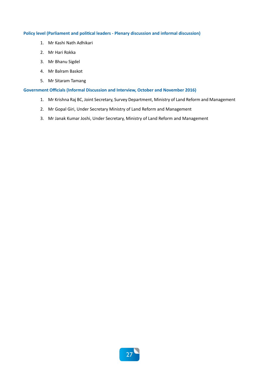#### **Policy level (Parliament and political leaders - Plenary discussion and informal discussion)**

- 1. Mr Kashi Nath Adhikari
- 2. Mr Hari Rokka
- 3. Mr Bhanu Sigdel
- 4. Mr Balram Baskot
- 5. Mr Sitaram Tamang

#### **Government Officials (Informal Discussion and Interview, October and November 2016)**

- 1. Mr Krishna Raj BC, Joint Secretary, Survey Department, Ministry of Land Reform and Management
- 2. Mr Gopal Giri, Under Secretary Ministry of Land Reform and Management
- 3. Mr Janak Kumar Joshi, Under Secretary, Ministry of Land Reform and Management